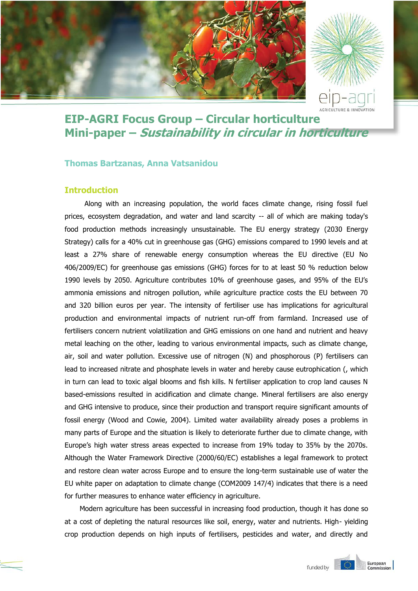

# **EIP-AGRI Focus Group – Circular horticulture Mini-paper – Sustainability in circular in horticulture**

## **Thomas Bartzanas, Anna Vatsanidou**

# **Introduction**

Along with an increasing population, the world faces climate change, rising fossil fuel prices, ecosystem degradation, and water and land scarcity -- all of which are making today's food production methods increasingly unsustainable. The EU energy strategy (2030 Energy Strategy) calls for a 40% cut in greenhouse gas (GHG) emissions compared to 1990 levels and at least a 27% share of renewable energy consumption whereas the EU directive (EU No 406/2009/EC) for greenhouse gas emissions (GHG) forces for to at least 50 % reduction below 1990 levels by 2050. Agriculture contributes 10% of greenhouse gases, and 95% of the EU's ammonia emissions and nitrogen pollution, while agriculture practice costs the EU between 70 and 320 billion euros per year. The intensity of fertiliser use has implications for agricultural production and environmental impacts of nutrient run-off from farmland. Increased use of fertilisers concern nutrient volatilization and GHG emissions on one hand and nutrient and heavy metal leaching on the other, leading to various environmental impacts, such as climate change, air, soil and water pollution. Excessive use of nitrogen (N) and phosphorous (P) fertilisers can lead to increased nitrate and phosphate levels in water and hereby cause eutrophication (, which in turn can lead to toxic algal blooms and fish kills. N fertiliser application to crop land causes N based-emissions resulted in acidification and climate change. Mineral fertilisers are also energy and GHG intensive to produce, since their production and transport require significant amounts of fossil energy (Wood and Cowie, 2004). Limited water availability already poses a problems in many parts of Europe and the situation is likely to deteriorate further due to climate change, with Europe's high water stress areas expected to increase from 19% today to 35% by the 2070s. Although the Water Framework Directive (2000/60/EC) establishes a legal framework to protect and restore clean water across Europe and to ensure the long-term sustainable use of water the EU white paper on adaptation to climate change (COM2009 147/4) indicates that there is a need for further measures to enhance water efficiency in agriculture.

Modern agriculture has been successful in increasing food production, though it has done so at a cost of depleting the natural resources like soil, energy, water and nutrients. High- yielding crop production depends on high inputs of fertilisers, pesticides and water, and directly and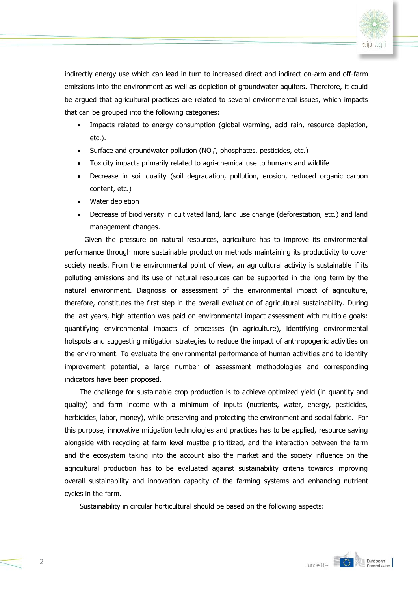

indirectly energy use which can lead in turn to increased direct and indirect on-arm and off-farm emissions into the environment as well as depletion of groundwater aquifers. Therefore, it could be argued that agricultural practices are related to several environmental issues, which impacts that can be grouped into the following categories:

- Impacts related to energy consumption (global warming, acid rain, resource depletion, etc.).
- Surface and groundwater pollution ( $NO<sub>3</sub>$ , phosphates, pesticides, etc.)
- Toxicity impacts primarily related to agri-chemical use to humans and wildlife
- Decrease in soil quality (soil degradation, pollution, erosion, reduced organic carbon content, etc.)
- Water depletion
- Decrease of biodiversity in cultivated land, land use change (deforestation, etc.) and land management changes.

Given the pressure on natural resources, agriculture has to improve its environmental performance through more sustainable production methods maintaining its productivity to cover society needs. From the environmental point of view, an agricultural activity is sustainable if its polluting emissions and its use of natural resources can be supported in the long term by the natural environment. Diagnosis or assessment of the environmental impact of agriculture, therefore, constitutes the first step in the overall evaluation of agricultural sustainability. During the last years, high attention was paid on environmental impact assessment with multiple goals: quantifying environmental impacts of processes (in agriculture), identifying environmental hotspots and suggesting mitigation strategies to reduce the impact of anthropogenic activities on the environment. To evaluate the environmental performance of human activities and to identify improvement potential, a large number of assessment methodologies and corresponding indicators have been proposed.

The challenge for sustainable crop production is to achieve optimized yield (in quantity and quality) and farm income with a minimum of inputs (nutrients, water, energy, pesticides, herbicides, labor, money), while preserving and protecting the environment and social fabric. For this purpose, innovative mitigation technologies and practices has to be applied, resource saving alongside with recycling at farm level mustbe prioritized, and the interaction between the farm and the ecosystem taking into the account also the market and the society influence on the agricultural production has to be evaluated against sustainability criteria towards improving overall sustainability and innovation capacity of the farming systems and enhancing nutrient cycles in the farm.

Sustainability in circular horticultural should be based on the following aspects: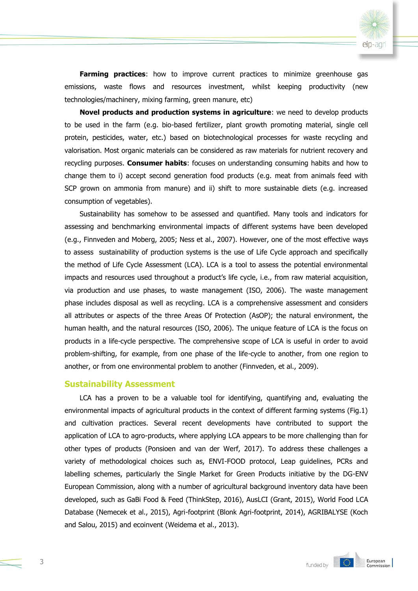

**Farming practices**: how to improve current practices to minimize greenhouse gas emissions, waste flows and resources investment, whilst keeping productivity (new technologies/machinery, mixing farming, green manure, etc)

**Novel products and production systems in agriculture**: we need to develop products to be used in the farm (e.g. bio-based fertilizer, plant growth promoting material, single cell protein, pesticides, water, etc.) based on biotechnological processes for waste recycling and valorisation. Most organic materials can be considered as raw materials for nutrient recovery and recycling purposes. **Consumer habits**: focuses on understanding consuming habits and how to change them to i) accept second generation food products (e.g. meat from animals feed with SCP grown on ammonia from manure) and ii) shift to more sustainable diets (e.g. increased consumption of vegetables).

Sustainability has somehow to be assessed and quantified. Many tools and indicators for assessing and benchmarking environmental impacts of different systems have been developed (e.g., Finnveden and Moberg, 2005; Ness et al., 2007). However, one of the most effective ways to assess sustainability of production systems is the use of Life Cycle approach and specifically the method of Life Cycle Assessment (LCA). LCA is a tool to assess the potential environmental impacts and resources used throughout a product's life cycle, i.e., from raw material acquisition, via production and use phases, to waste management (ISO, 2006). The waste management phase includes disposal as well as recycling. LCA is a comprehensive assessment and considers all attributes or aspects of the three Areas Of Protection (AsOP); the natural environment, the human health, and the natural resources (ISO, 2006). The unique feature of LCA is the focus on products in a life-cycle perspective. The comprehensive scope of LCA is useful in order to avoid problem-shifting, for example, from one phase of the life-cycle to another, from one region to another, or from one environmental problem to another (Finnveden, et al., 2009).

#### **Sustainability Assessment**

LCA has a proven to be a valuable tool for identifying, quantifying and, evaluating the environmental impacts of agricultural products in the context of different farming systems (Fig.1) and cultivation practices. Several recent developments have contributed to support the application of LCA to agro-products, where applying LCA appears to be more challenging than for other types of products (Ponsioen and van der Werf, 2017). To address these challenges a variety of methodological choices such as, ENVI-FOOD protocol, Leap guidelines, PCRs and labelling schemes, particularly the Single Market for Green Products initiative by the DG-ENV European Commission, along with a number of agricultural background inventory data have been developed, such as GaBi Food & Feed (ThinkStep, 2016), AusLCI (Grant, 2015), World Food LCA Database (Nemecek et al., 2015), Agri-footprint (Blonk Agri-footprint, 2014), AGRIBALYSE (Koch and Salou, 2015) and ecoinvent (Weidema et al., 2013).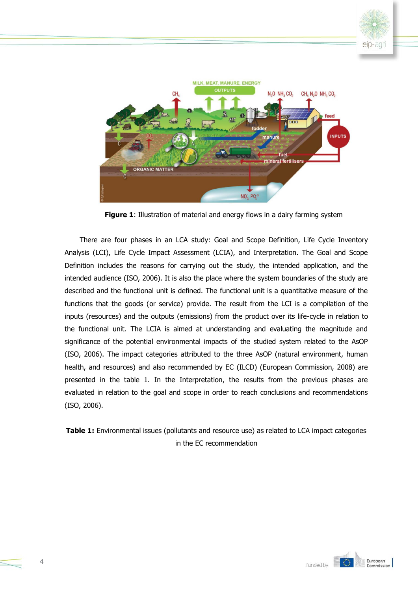



**Figure 1**: Illustration of material and energy flows in a dairy farming system

There are four phases in an LCA study: Goal and Scope Definition, Life Cycle Inventory Analysis (LCI), Life Cycle Impact Assessment (LCIA), and Interpretation. The Goal and Scope Definition includes the reasons for carrying out the study, the intended application, and the intended audience (ISO, 2006). It is also the place where the system boundaries of the study are described and the functional unit is defined. The functional unit is a quantitative measure of the functions that the goods (or service) provide. The result from the LCI is a compilation of the inputs (resources) and the outputs (emissions) from the product over its life-cycle in relation to the functional unit. The LCIA is aimed at understanding and evaluating the magnitude and significance of the potential environmental impacts of the studied system related to the AsOP (ISO, 2006). The impact categories attributed to the three AsOP (natural environment, human health, and resources) and also recommended by EC (ILCD) (European Commission, 2008) are presented in the table 1. In the Interpretation, the results from the previous phases are evaluated in relation to the goal and scope in order to reach conclusions and recommendations (ISO, 2006).

**Table 1:** Environmental issues (pollutants and resource use) as related to LCA impact categories in the EC recommendation